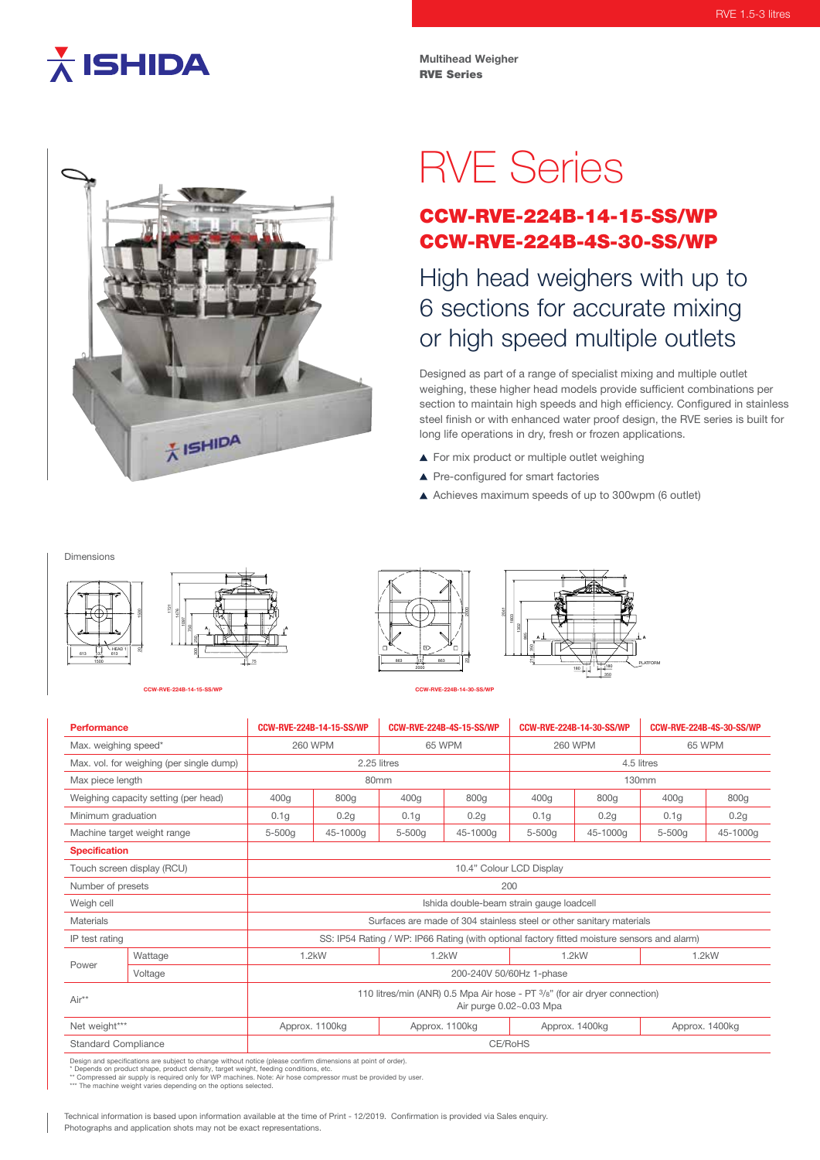## $\overline{\overline{\lambda}}$  ISHIDA

**Multihead Weigher** RVE Series



# RVE Series

### CCW-RVE-224B-14-15-SS/WP CCW-RVE-224B-4S-30-SS/WP

High head weighers with up to 6 sections for accurate mixing or high speed multiple outlets

Designed as part of a range of specialist mixing and multiple outlet weighing, these higher head models provide sufficient combinations per section to maintain high speeds and high efficiency. Configured in stainless steel finish or with enhanced water proof design, the RVE series is built for long life operations in dry, fresh or frozen applications.

**PLATFORM** 

180 | | | | | | | 180

<sup>350</sup> **<sup>A</sup> <sup>A</sup>**

▲ For mix product or multiple outlet weighing

865 1803

2041

- ▲ Pre-configured for smart factories
- Achieves maximum speeds of up to 300wpm (6 outlet)

Dimensions



**CCW-RVE-224B-14-15-SS/WP CCW-RVE-224B-14-30-SS/WP**

### 2000 2000 863 137 863

| Performance                              |         | CCW-RVE-224B-14-15-SS/WP                                                                              |                | <b>CCW-RVE-224B-4S-15-SS/WP</b> |                | CCW-RVE-224B-14-30-SS/WP |                | <b>CCW-RVE-224B-4S-30-SS/WP</b> |          |
|------------------------------------------|---------|-------------------------------------------------------------------------------------------------------|----------------|---------------------------------|----------------|--------------------------|----------------|---------------------------------|----------|
| Max. weighing speed*                     |         | <b>260 WPM</b>                                                                                        |                | 65 WPM                          |                | <b>260 WPM</b>           |                | 65 WPM                          |          |
| Max. vol. for weighing (per single dump) |         | 2.25 litres                                                                                           |                |                                 |                | 4.5 litres               |                |                                 |          |
| Max piece length                         |         | 80 <sub>mm</sub>                                                                                      |                |                                 |                | 130mm                    |                |                                 |          |
| Weighing capacity setting (per head)     |         | 400 <sub>g</sub>                                                                                      | 800g           | 400g                            | 800g           | 400g                     | 800g           | 400g                            | 800g     |
| Minimum graduation                       |         | 0.1 <sub>g</sub>                                                                                      | 0.2g           | 0.1q                            | 0.2g           | 0.1 <sub>g</sub>         | 0.2g           | 0.1q                            | 0.2g     |
| Machine target weight range              |         | 5-500g                                                                                                | 45-1000g       | $5-500q$                        | 45-1000g       | $5-500q$                 | 45-1000g       | $5-500q$                        | 45-1000g |
| <b>Specification</b>                     |         |                                                                                                       |                |                                 |                |                          |                |                                 |          |
| Touch screen display (RCU)               |         | 10.4" Colour LCD Display                                                                              |                |                                 |                |                          |                |                                 |          |
| Number of presets                        |         | 200                                                                                                   |                |                                 |                |                          |                |                                 |          |
| Weigh cell                               |         | Ishida double-beam strain gauge loadcell                                                              |                |                                 |                |                          |                |                                 |          |
| <b>Materials</b>                         |         | Surfaces are made of 304 stainless steel or other sanitary materials                                  |                |                                 |                |                          |                |                                 |          |
| IP test rating                           |         | SS: IP54 Rating / WP: IP66 Rating (with optional factory fitted moisture sensors and alarm)           |                |                                 |                |                          |                |                                 |          |
| Power                                    | Wattage | $1.2$ kW                                                                                              |                | $1.2$ kW                        |                | $1.2$ kW                 |                | $1.2$ kW                        |          |
|                                          | Voltage | 200-240V 50/60Hz 1-phase                                                                              |                |                                 |                |                          |                |                                 |          |
| Air**                                    |         | 110 litres/min (ANR) 0.5 Mpa Air hose - PT 3/8" (for air dryer connection)<br>Air purge 0.02~0.03 Mpa |                |                                 |                |                          |                |                                 |          |
| Net weight***                            |         |                                                                                                       | Approx. 1100kg |                                 | Approx. 1100kg |                          | Approx. 1400kg | Approx. 1400kg                  |          |
| <b>Standard Compliance</b>               |         | CE/RoHS                                                                                               |                |                                 |                |                          |                |                                 |          |

Design and specifications are subject to change without notice (please confirm dimensions at point of order).<br>\* Depends on product shape, product density, target weight, feeding conditions, etc.<br>\*\* Compressed air supply is